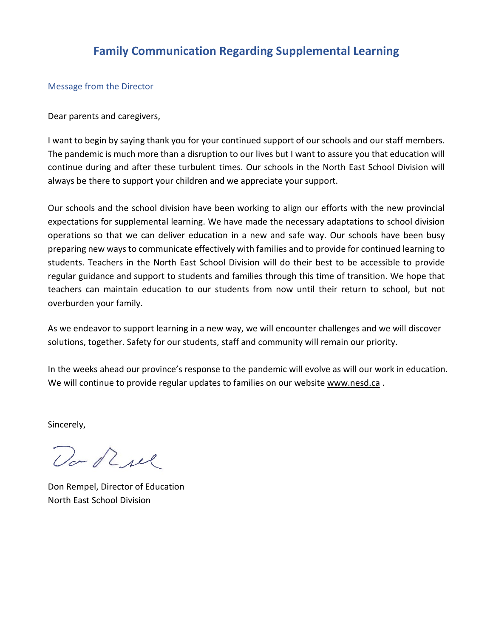## **Family Communication Regarding Supplemental Learning**

#### Message from the Director

Dear parents and caregivers,

I want to begin by saying thank you for your continued support of our schools and our staff members. The pandemic is much more than a disruption to our lives but I want to assure you that education will continue during and after these turbulent times. Our schools in the North East School Division will always be there to support your children and we appreciate your support.

Our schools and the school division have been working to align our efforts with the new provincial expectations for supplemental learning. We have made the necessary adaptations to school division operations so that we can deliver education in a new and safe way. Our schools have been busy preparing new ways to communicate effectively with families and to provide for continued learning to students. Teachers in the North East School Division will do their best to be accessible to provide regular guidance and support to students and families through this time of transition. We hope that teachers can maintain education to our students from now until their return to school, but not overburden your family.

As we endeavor to support learning in a new way, we will encounter challenges and we will discover solutions, together. Safety for our students, staff and community will remain our priority.

In the weeks ahead our province's response to the pandemic will evolve as will our work in education. We will continue to provide regular updates to families on our website [www.nesd.ca](http://www.nesd.ca/).

Sincerely,

Do Rue

Don Rempel, Director of Education North East School Division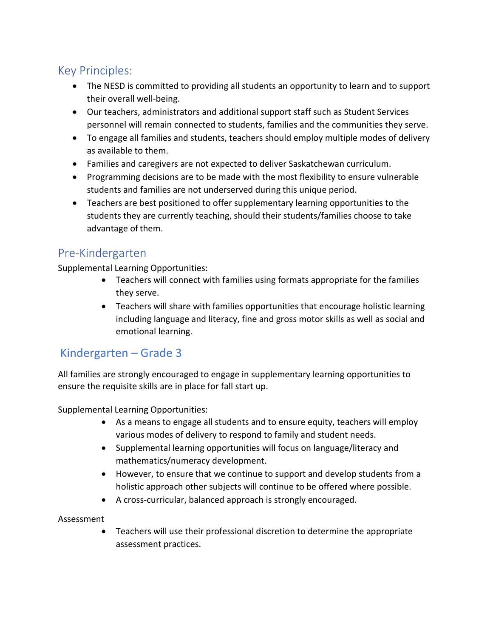# Key Principles:

- The NESD is committed to providing all students an opportunity to learn and to support their overall well-being.
- Our teachers, administrators and additional support staff such as Student Services personnel will remain connected to students, families and the communities they serve.
- To engage all families and students, teachers should employ multiple modes of delivery as available to them.
- Families and caregivers are not expected to deliver Saskatchewan curriculum.
- Programming decisions are to be made with the most flexibility to ensure vulnerable students and families are not underserved during this unique period.
- Teachers are best positioned to offer supplementary learning opportunities to the students they are currently teaching, should their students/families choose to take advantage of them.

## Pre-Kindergarten

Supplemental Learning Opportunities:

- Teachers will connect with families using formats appropriate for the families they serve.
- Teachers will share with families opportunities that encourage holistic learning including language and literacy, fine and gross motor skills as well as social and emotional learning.

# Kindergarten – Grade 3

All families are strongly encouraged to engage in supplementary learning opportunities to ensure the requisite skills are in place for fall start up.

Supplemental Learning Opportunities:

- As a means to engage all students and to ensure equity, teachers will employ various modes of delivery to respond to family and student needs.
- Supplemental learning opportunities will focus on language/literacy and mathematics/numeracy development.
- However, to ensure that we continue to support and develop students from a holistic approach other subjects will continue to be offered where possible.
- A cross-curricular, balanced approach is strongly encouraged.

Assessment

• Teachers will use their professional discretion to determine the appropriate assessment practices.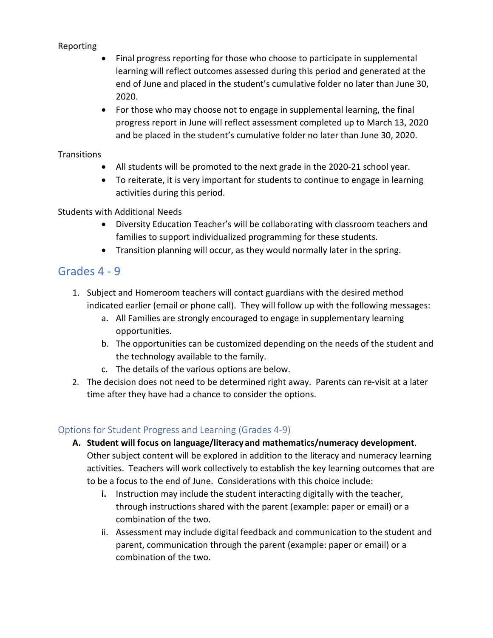#### Reporting

- Final progress reporting for those who choose to participate in supplemental learning will reflect outcomes assessed during this period and generated at the end of June and placed in the student's cumulative folder no later than June 30, 2020.
- For those who may choose not to engage in supplemental learning, the final progress report in June will reflect assessment completed up to March 13, 2020 and be placed in the student's cumulative folder no later than June 30, 2020.

#### Transitions

- All students will be promoted to the next grade in the 2020-21 school year.
- To reiterate, it is very important for students to continue to engage in learning activities during this period.

#### Students with Additional Needs

- Diversity Education Teacher's will be collaborating with classroom teachers and families to support individualized programming for these students.
- Transition planning will occur, as they would normally later in the spring.

## Grades 4 - 9

- 1. Subject and Homeroom teachers will contact guardians with the desired method indicated earlier (email or phone call). They will follow up with the following messages:
	- a. All Families are strongly encouraged to engage in supplementary learning opportunities.
	- b. The opportunities can be customized depending on the needs of the student and the technology available to the family.
	- c. The details of the various options are below.
- 2. The decision does not need to be determined right away. Parents can re-visit at a later time after they have had a chance to consider the options.

### Options for Student Progress and Learning (Grades 4-9)

- **A. Student will focus on language/literacy and mathematics/numeracy development**. Other subject content will be explored in addition to the literacy and numeracy learning activities. Teachers will work collectively to establish the key learning outcomes that are to be a focus to the end of June. Considerations with this choice include:
	- **i.** Instruction may include the student interacting digitally with the teacher, through instructions shared with the parent (example: paper or email) or a combination of the two.
	- ii. Assessment may include digital feedback and communication to the student and parent, communication through the parent (example: paper or email) or a combination of the two.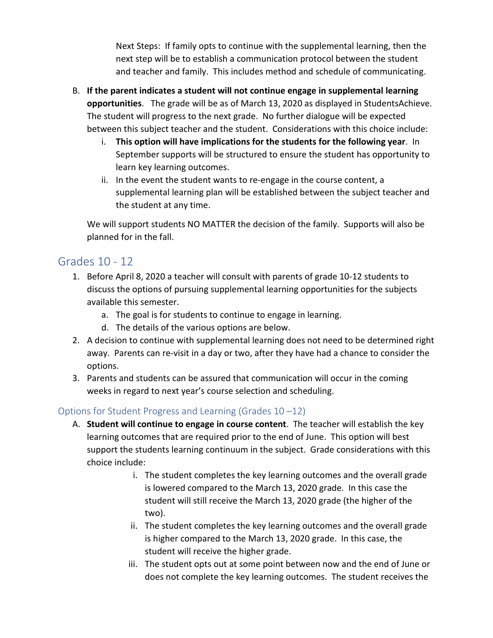Next Steps: If family opts to continue with the supplemental learning, then the next step will be to establish a communication protocol between the student and teacher and family. This includes method and schedule of communicating.

- B. **If the parent indicates a student will not continue engage in supplemental learning opportunities**. The grade will be as of March 13, 2020 as displayed in StudentsAchieve. The student will progress to the next grade. No further dialogue will be expected between this subject teacher and the student. Considerations with this choice include:
	- i. **This option will have implications for the students for the following year**. In September supports will be structured to ensure the student has opportunity to learn key learning outcomes.
	- ii. In the event the student wants to re-engage in the course content, a supplemental learning plan will be established between the subject teacher and the student at any time.

We will support students NO MATTER the decision of the family. Supports will also be planned for in the fall.

## Grades 10 - 12

- 1. Before April 8, 2020 a teacher will consult with parents of grade 10-12 students to discuss the options of pursuing supplemental learning opportunities for the subjects available this semester.
	- a. The goal is for students to continue to engage in learning.
	- d. The details of the various options are below.
- 2. A decision to continue with supplemental learning does not need to be determined right away. Parents can re-visit in a day or two, after they have had a chance to consider the options.
- 3. Parents and students can be assured that communication will occur in the coming weeks in regard to next year's course selection and scheduling.

### Options for Student Progress and Learning (Grades 10 –12)

- A. **Student will continue to engage in course content**. The teacher will establish the key learning outcomes that are required prior to the end of June. This option will best support the students learning continuum in the subject. Grade considerations with this choice include:
	- i. The student completes the key learning outcomes and the overall grade is lowered compared to the March 13, 2020 grade. In this case the student will still receive the March 13, 2020 grade (the higher of the two).
	- ii. The student completes the key learning outcomes and the overall grade is higher compared to the March 13, 2020 grade. In this case, the student will receive the higher grade.
	- iii. The student opts out at some point between now and the end of June or does not complete the key learning outcomes. The student receives the